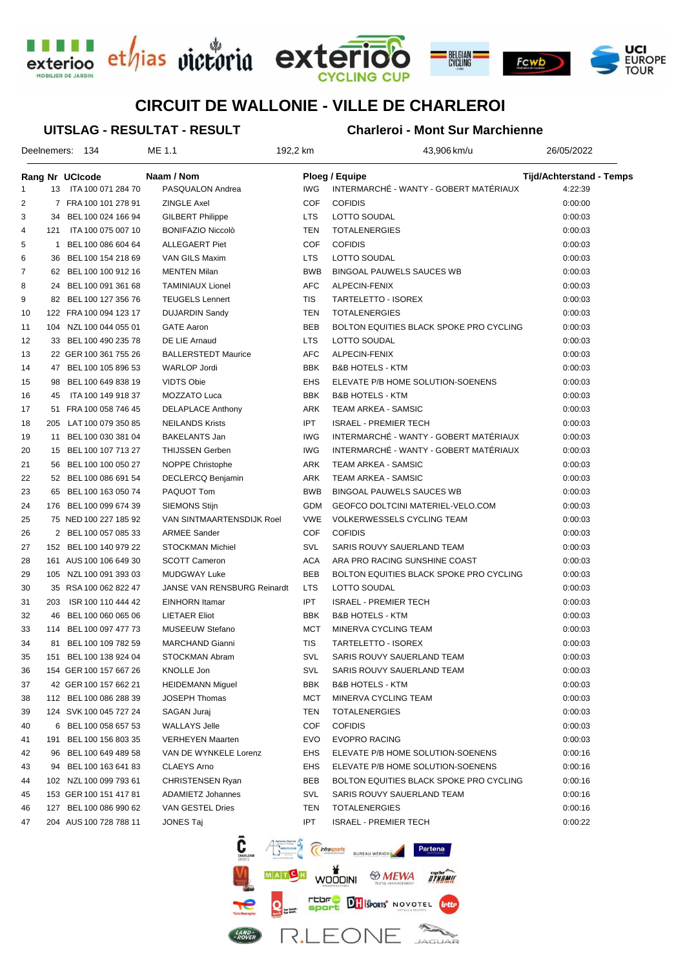





# **CIRCUIT DE WALLONIE - VILLE DE CHARLEROI**

#### **UITSLAG - RESULTAT - RESULT**

#### **Charleroi - Mont Sur Marchienne**

|    | Deelnemers: | - 134                  | ME 1.1                      | 192,2 km   | 43,906 km/u                             | 26/05/2022                      |
|----|-------------|------------------------|-----------------------------|------------|-----------------------------------------|---------------------------------|
|    |             | Rang Nr UCIcode        | Naam / Nom                  |            | Ploeg / Equipe                          | <b>Tijd/Achterstand - Temps</b> |
| 1  |             | 13 ITA 100 071 284 70  | PASQUALON Andrea            | <b>IWG</b> | INTERMARCHÉ - WANTY - GOBERT MATÉRIAUX  | 4:22:39                         |
| 2  |             | 7 FRA 100 101 278 91   | <b>ZINGLE Axel</b>          | <b>COF</b> | <b>COFIDIS</b>                          | 0:00:00                         |
| 3  |             | 34 BEL 100 024 166 94  | <b>GILBERT Philippe</b>     | <b>LTS</b> | LOTTO SOUDAL                            | 0:00:03                         |
| 4  | 121         | ITA 100 075 007 10     | <b>BONIFAZIO Niccolò</b>    | <b>TEN</b> | <b>TOTALENERGIES</b>                    | 0:00:03                         |
| 5  | 1           | BEL 100 086 604 64     | <b>ALLEGAERT Piet</b>       | <b>COF</b> | <b>COFIDIS</b>                          | 0:00:03                         |
| 6  | 36          | BEL 100 154 218 69     | VAN GILS Maxim              | <b>LTS</b> | LOTTO SOUDAL                            | 0:00:03                         |
| 7  |             | 62 BEL 100 100 912 16  | <b>MENTEN Milan</b>         | <b>BWB</b> | BINGOAL PAUWELS SAUCES WB               | 0:00:03                         |
| 8  |             | 24 BEL 100 091 361 68  | <b>TAMINIAUX Lionel</b>     | <b>AFC</b> | ALPECIN-FENIX                           | 0:00:03                         |
| 9  |             | 82 BEL 100 127 356 76  | <b>TEUGELS Lennert</b>      | TIS        | <b>TARTELETTO - ISOREX</b>              | 0:00:03                         |
| 10 |             | 122 FRA 100 094 123 17 | <b>DUJARDIN Sandy</b>       | TEN        | <b>TOTALENERGIES</b>                    | 0:00:03                         |
| 11 |             | 104 NZL100 044 055 01  | <b>GATE Aaron</b>           | <b>BEB</b> | BOLTON EQUITIES BLACK SPOKE PRO CYCLING | 0:00:03                         |
| 12 |             | 33 BEL 100 490 235 78  | DE LIE Arnaud               | <b>LTS</b> | LOTTO SOUDAL                            | 0:00:03                         |
| 13 |             | 22 GER 100 361 755 26  | <b>BALLERSTEDT Maurice</b>  | <b>AFC</b> | ALPECIN-FENIX                           | 0:00:03                         |
| 14 |             | 47 BEL 100 105 896 53  | <b>WARLOP Jordi</b>         | <b>BBK</b> | <b>B&amp;B HOTELS - KTM</b>             | 0:00:03                         |
| 15 | 98          | BEL 100 649 838 19     | <b>VIDTS Obie</b>           | <b>EHS</b> | ELEVATE P/B HOME SOLUTION-SOENENS       | 0:00:03                         |
| 16 | 45          | ITA 100 149 918 37     | MOZZATO Luca                | <b>BBK</b> | <b>B&amp;B HOTELS - KTM</b>             | 0:00:03                         |
| 17 |             | 51 FRA 100 058 746 45  | <b>DELAPLACE Anthony</b>    | ARK        | <b>TEAM ARKEA - SAMSIC</b>              | 0:00:03                         |
| 18 |             | 205 LAT100 079 350 85  | <b>NEILANDS Krists</b>      | <b>IPT</b> | <b>ISRAEL - PREMIER TECH</b>            | 0:00:03                         |
| 19 |             | 11 BEL 100 030 381 04  | <b>BAKELANTS Jan</b>        | <b>IWG</b> | INTERMARCHÉ - WANTY - GOBERT MATÉRIAUX  | 0:00:03                         |
| 20 |             | 15 BEL 100 107 713 27  | <b>THIJSSEN Gerben</b>      | <b>IWG</b> | INTERMARCHÉ - WANTY - GOBERT MATÉRIAUX  | 0:00:03                         |
| 21 |             | 56 BEL 100 100 050 27  | <b>NOPPE Christophe</b>     | ARK        | <b>TEAM ARKEA - SAMSIC</b>              | 0:00:03                         |
| 22 |             | 52 BEL 100 086 691 54  | DECLERCQ Benjamin           | ARK        | TEAM ARKEA - SAMSIC                     | 0:00:03                         |
| 23 |             | 65 BEL 100 163 050 74  | PAQUOT Tom                  | <b>BWB</b> | <b>BINGOAL PAUWELS SAUCES WB</b>        | 0:00:03                         |
| 24 |             | 176 BEL 100 099 674 39 | SIEMONS Stijn               | GDM        | GEOFCO DOLTCINI MATERIEL-VELO.COM       | 0:00:03                         |
| 25 |             | 75 NED 100 227 185 92  | VAN SINTMAARTENSDIJK Roel   | <b>VWE</b> | <b>VOLKERWESSELS CYCLING TEAM</b>       | 0:00:03                         |
| 26 |             | 2 BEL 100 057 085 33   | <b>ARMEE Sander</b>         | <b>COF</b> | <b>COFIDIS</b>                          | 0:00:03                         |
| 27 |             | 152 BEL 100 140 979 22 | <b>STOCKMAN Michiel</b>     | SVL        | SARIS ROUVY SAUERLAND TEAM              | 0:00:03                         |
| 28 |             | 161 AUS 100 106 649 30 | <b>SCOTT Cameron</b>        | <b>ACA</b> | ARA PRO RACING SUNSHINE COAST           | 0:00:03                         |
| 29 |             | 105 NZL 100 091 393 03 | <b>MUDGWAY Luke</b>         | <b>BEB</b> | BOLTON EQUITIES BLACK SPOKE PRO CYCLING | 0:00:03                         |
| 30 |             | 35 RSA 100 062 822 47  | JANSE VAN RENSBURG Reinardt | <b>LTS</b> | LOTTO SOUDAL                            | 0:00:03                         |
| 31 | 203         | ISR 100 110 444 42     | EINHORN Itamar              | <b>IPT</b> | <b>ISRAEL - PREMIER TECH</b>            | 0:00:03                         |
| 32 | 46          | BEL 100 060 065 06     | <b>LIETAER Eliot</b>        | <b>BBK</b> | <b>B&amp;B HOTELS - KTM</b>             | 0:00:03                         |
| 33 |             | 114 BEL 100 097 477 73 | MUSEEUW Stefano             | <b>MCT</b> | MINERVA CYCLING TEAM                    | 0:00:03                         |
| 34 | 81          | BEL 100 109 782 59     | <b>MARCHAND Gianni</b>      | TIS        | TARTELETTO - ISOREX                     | 0:00:03                         |
| 35 |             | 151 BEL 100 138 924 04 | STOCKMAN Abram              | <b>SVL</b> | SARIS ROUVY SAUERLAND TEAM              | 0:00:03                         |
| 36 |             | 154 GER 100 157 667 26 | KNOLLE Jon                  | SVL        | SARIS ROUVY SAUERLAND TEAM              | 0:00:03                         |
| 37 |             | 42 GER 100 157 662 21  | <b>HEIDEMANN Miguel</b>     | <b>BBK</b> | <b>B&amp;B HOTELS - KTM</b>             | 0:00:03                         |
| 38 |             | 112 BEL 100 086 288 39 | JOSEPH Thomas               | MCT        | MINERVA CYCLING TEAM                    | 0:00:03                         |
| 39 |             | 124 SVK 100 045 727 24 | SAGAN Juraj                 | TEN        | <b>TOTALENERGIES</b>                    | 0:00:03                         |
| 40 |             | 6 BEL 100 058 657 53   | <b>WALLAYS Jelle</b>        | COF        | <b>COFIDIS</b>                          | 0:00:03                         |
| 41 | 191         | BEL 100 156 803 35     | <b>VERHEYEN Maarten</b>     | <b>EVO</b> | <b>EVOPRO RACING</b>                    | 0:00:03                         |
| 42 | 96          | BEL 100 649 489 58     | VAN DE WYNKELE Lorenz       | EHS        | ELEVATE P/B HOME SOLUTION-SOENENS       | 0:00:16                         |
| 43 |             | 94 BEL 100 163 641 83  | <b>CLAEYS Arno</b>          | EHS        | ELEVATE P/B HOME SOLUTION-SOENENS       | 0:00:16                         |
| 44 |             | 102 NZL 100 099 793 61 | <b>CHRISTENSEN Ryan</b>     | BEB        | BOLTON EQUITIES BLACK SPOKE PRO CYCLING | 0:00:16                         |
| 45 |             | 153 GER 100 151 417 81 | <b>ADAMIETZ Johannes</b>    | SVL        | SARIS ROUVY SAUERLAND TEAM              | 0:00:16                         |
| 46 |             | 127 BEL 100 086 990 62 | VAN GESTEL Dries            | TEN        | <b>TOTALENERGIES</b>                    | 0:00:16                         |
| 47 |             | 204 AUS 100 728 788 11 | JONES Taj                   | IPT        | <b>ISRAEL - PREMIER TECH</b>            | 0:00:22                         |

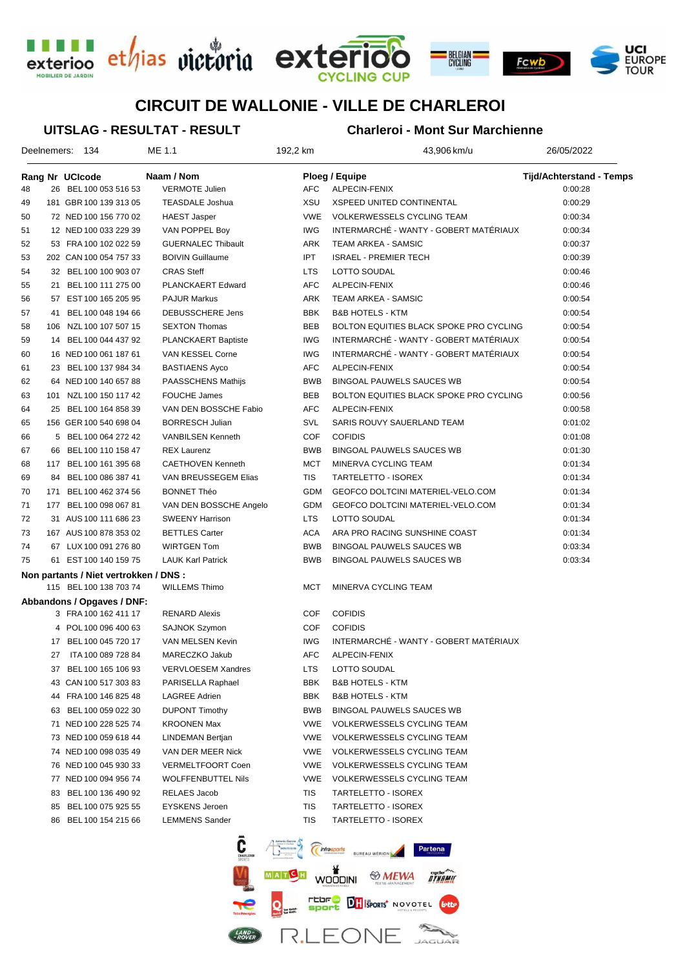





# **CIRCUIT DE WALLONIE - VILLE DE CHARLEROI**

#### **UITSLAG - RESULTAT - RESULT**

## **Charleroi - Mont Sur Marchienne**

|    |    | Deelnemers: 134                        | ME 1.1                     | 192,2 km   | 43,906 km/u                             | 26/05/2022                      |  |
|----|----|----------------------------------------|----------------------------|------------|-----------------------------------------|---------------------------------|--|
|    |    | Rang Nr UCIcode                        | Naam / Nom                 |            | Ploeg / Equipe                          | <b>Tijd/Achterstand - Temps</b> |  |
| 48 |    | 26 BEL 100 053 516 53                  | <b>VERMOTE Julien</b>      | <b>AFC</b> | ALPECIN-FENIX                           | 0:00:28                         |  |
| 49 |    | 181 GBR 100 139 313 05                 | <b>TEASDALE Joshua</b>     | XSU        | <b>XSPEED UNITED CONTINENTAL</b>        | 0:00:29                         |  |
| 50 |    | 72 NED 100 156 770 02                  | HAEST Jasper               | <b>VWE</b> | <b>VOLKERWESSELS CYCLING TEAM</b>       | 0:00:34                         |  |
| 51 |    | 12 NED 100 033 229 39                  | VAN POPPEL Boy             | <b>IWG</b> | INTERMARCHÉ - WANTY - GOBERT MATÉRIAUX  | 0:00:34                         |  |
| 52 |    | 53 FRA 100 102 022 59                  | <b>GUERNALEC Thibault</b>  | ARK        | TEAM ARKEA - SAMSIC                     | 0:00:37                         |  |
| 53 |    | 202 CAN 100 054 757 33                 | <b>BOIVIN Guillaume</b>    | <b>IPT</b> | <b>ISRAEL - PREMIER TECH</b>            | 0:00:39                         |  |
| 54 |    | 32 BEL 100 100 903 07                  | <b>CRAS Steff</b>          | <b>LTS</b> | LOTTO SOUDAL                            | 0:00:46                         |  |
| 55 |    | 21 BEL 100 111 275 00                  | PLANCKAERT Edward          | <b>AFC</b> | ALPECIN-FENIX                           | 0:00:46                         |  |
| 56 |    | 57 EST 100 165 205 95                  | <b>PAJUR Markus</b>        | <b>ARK</b> | TEAM ARKEA - SAMSIC                     | 0:00:54                         |  |
| 57 | 41 | BEL 100 048 194 66                     | DEBUSSCHERE Jens           | <b>BBK</b> | <b>B&amp;B HOTELS - KTM</b>             | 0:00:54                         |  |
| 58 |    | 106 NZL 100 107 507 15                 | <b>SEXTON Thomas</b>       | <b>BEB</b> | BOLTON EQUITIES BLACK SPOKE PRO CYCLING | 0:00:54                         |  |
| 59 |    | 14 BEL 100 044 437 92                  | <b>PLANCKAERT Baptiste</b> | <b>IWG</b> | INTERMARCHÉ - WANTY - GOBERT MATÉRIAUX  | 0:00:54                         |  |
| 60 |    | 16 NED 100 061 187 61                  | VAN KESSEL Corne           | <b>IWG</b> | INTERMARCHÉ - WANTY - GOBERT MATÉRIAUX  | 0:00:54                         |  |
| 61 |    | 23 BEL 100 137 984 34                  | <b>BASTIAENS Ayco</b>      | AFC        | ALPECIN-FENIX                           | 0:00:54                         |  |
| 62 |    | 64 NED 100 140 657 88                  | PAASSCHENS Mathijs         | <b>BWB</b> | <b>BINGOAL PAUWELS SAUCES WB</b>        | 0:00:54                         |  |
| 63 |    | 101 NZL 100 150 117 42                 | <b>FOUCHE James</b>        | <b>BEB</b> | BOLTON EQUITIES BLACK SPOKE PRO CYCLING | 0:00:56                         |  |
| 64 |    | 25 BEL 100 164 858 39                  | VAN DEN BOSSCHE Fabio      | <b>AFC</b> | ALPECIN-FENIX                           | 0:00:58                         |  |
| 65 |    | 156 GER 100 540 698 04                 | <b>BORRESCH Julian</b>     | SVL        | SARIS ROUVY SAUERLAND TEAM              | 0:01:02                         |  |
| 66 |    | 5 BEL 100 064 272 42                   | <b>VANBILSEN Kenneth</b>   | <b>COF</b> | <b>COFIDIS</b>                          | 0:01:08                         |  |
| 67 |    | 66 BEL 100 110 158 47                  | <b>REX Laurenz</b>         | <b>BWB</b> | <b>BINGOAL PAUWELS SAUCES WB</b>        | 0:01:30                         |  |
| 68 |    | 117 BEL 100 161 395 68                 | <b>CAETHOVEN Kenneth</b>   | <b>MCT</b> | MINERVA CYCLING TEAM                    | 0:01:34                         |  |
| 69 | 84 | BEL 100 086 387 41                     | VAN BREUSSEGEM Elias       | TIS        | TARTELETTO - ISOREX                     | 0:01:34                         |  |
| 70 |    | 171 BEL 100 462 374 56                 | <b>BONNET Théo</b>         | <b>GDM</b> | GEOFCO DOLTCINI MATERIEL-VELO.COM       | 0:01:34                         |  |
| 71 |    | 177 BEL 100 098 067 81                 | VAN DEN BOSSCHE Angelo     | GDM        | GEOFCO DOLTCINI MATERIEL-VELO.COM       | 0:01:34                         |  |
| 72 |    | 31 AUS 100 111 686 23                  | <b>SWEENY Harrison</b>     | <b>LTS</b> | LOTTO SOUDAL                            | 0:01:34                         |  |
| 73 |    | 167 AUS 100 878 353 02                 | <b>BETTLES Carter</b>      | <b>ACA</b> | ARA PRO RACING SUNSHINE COAST           | 0:01:34                         |  |
| 74 |    | 67 LUX 100 091 276 80                  | <b>WIRTGEN Tom</b>         | <b>BWB</b> | BINGOAL PAUWELS SAUCES WB               | 0:03:34                         |  |
| 75 |    | 61 EST 100 140 159 75                  | <b>LAUK Karl Patrick</b>   | <b>BWB</b> | BINGOAL PAUWELS SAUCES WB               | 0:03:34                         |  |
|    |    | Non partants / Niet vertrokken / DNS : |                            |            |                                         |                                 |  |
|    |    | 115 BEL 100 138 703 74                 | <b>WILLEMS Thimo</b>       | <b>MCT</b> | MINERVA CYCLING TEAM                    |                                 |  |
|    |    | Abbandons / Opgaves / DNF:             |                            |            |                                         |                                 |  |
|    |    | 3 FRA 100 162 411 17                   | <b>RENARD Alexis</b>       | COF        | <b>COFIDIS</b>                          |                                 |  |
|    |    | 4 POL 100 096 400 63                   | SAJNOK Szymon              | COF        | <b>COFIDIS</b>                          |                                 |  |
|    |    | 17 BEL 100 045 720 17                  | VAN MELSEN Kevin           | <b>IWG</b> | INTERMARCHÉ - WANTY - GOBERT MATÉRIAUX  |                                 |  |
|    |    | 27 ITA 100 089 728 84                  | MARECZKO Jakub             | <b>AFC</b> | ALPECIN-FENIX                           |                                 |  |
|    |    | 37 BEL 100 165 106 93                  | <b>VERVLOESEM Xandres</b>  | LTS        | LOTTO SOUDAL                            |                                 |  |
|    |    | 43 CAN 100 517 303 83                  | PARISELLA Raphael          | BBK        | <b>B&amp;B HOTELS - KTM</b>             |                                 |  |
|    |    | 44 FRA 100 146 825 48                  | <b>LAGREE Adrien</b>       | BBK        | <b>B&amp;B HOTELS - KTM</b>             |                                 |  |
|    | 63 | BEL 100 059 022 30                     | <b>DUPONT Timothy</b>      | BWB        | BINGOAL PAUWELS SAUCES WB               |                                 |  |
|    |    | 71 NED 100 228 525 74                  | <b>KROONEN Max</b>         | <b>VWE</b> | <b>VOLKERWESSELS CYCLING TEAM</b>       |                                 |  |
|    |    | 73 NED 100 059 618 44                  | LINDEMAN Bertjan           | <b>VWE</b> | <b>VOLKERWESSELS CYCLING TEAM</b>       |                                 |  |
|    |    | 74 NED 100 098 035 49                  | VAN DER MEER Nick          | <b>VWE</b> | <b>VOLKERWESSELS CYCLING TEAM</b>       |                                 |  |
|    |    | 76 NED 100 045 930 33                  | <b>VERMELTFOORT Coen</b>   | <b>VWE</b> | VOLKERWESSELS CYCLING TEAM              |                                 |  |
|    |    | 77 NED 100 094 956 74                  | WOLFFENBUTTEL Nils         | <b>VWE</b> | VOLKERWESSELS CYCLING TEAM              |                                 |  |
|    | 83 | BEL 100 136 490 92                     | RELAES Jacob               | TIS        | TARTELETTO - ISOREX                     |                                 |  |
|    | 85 | BEL 100 075 925 55                     | <b>EYSKENS Jeroen</b>      | TIS        | TARTELETTO - ISOREX                     |                                 |  |
|    |    |                                        |                            |            |                                         |                                 |  |

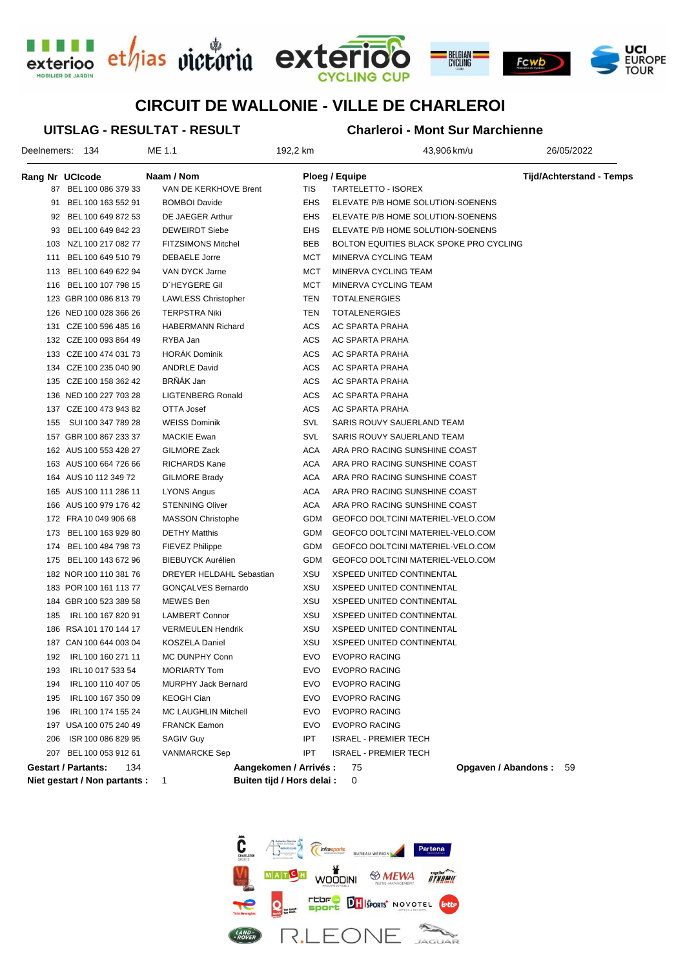





# **CIRCUIT DE WALLONIE - VILLE DE CHARLEROI**

**UITSLAG - RESULTAT - RESULT**

### **Charleroi - Mont Sur Marchienne**

|                 | Deelnemers: 134                   | ME 1.1                     | 192,2 km                   | 43,906 km/u                             | 26/05/2022                      |
|-----------------|-----------------------------------|----------------------------|----------------------------|-----------------------------------------|---------------------------------|
| Rang Nr UCIcode |                                   | Naam / Nom                 |                            | Ploeg / Equipe                          | <b>Tijd/Achterstand - Temps</b> |
|                 | 87 BEL 100 086 379 33             | VAN DE KERKHOVE Brent      | TIS                        | TARTELETTO - ISOREX                     |                                 |
| 91              | BEL 100 163 552 91                | <b>BOMBOI Davide</b>       | EHS                        | ELEVATE P/B HOME SOLUTION-SOENENS       |                                 |
|                 | 92 BEL 100 649 872 53             | DE JAEGER Arthur           | EHS                        | ELEVATE P/B HOME SOLUTION-SOENENS       |                                 |
| 93              | BEL 100 649 842 23                | <b>DEWEIRDT Siebe</b>      | EHS                        | ELEVATE P/B HOME SOLUTION-SOENENS       |                                 |
| 103             | NZL 100 217 082 77                | <b>FITZSIMONS Mitchel</b>  | BEB                        | BOLTON EQUITIES BLACK SPOKE PRO CYCLING |                                 |
| 111             | BEL 100 649 510 79                | DEBAELE Jorre              | MCT                        | MINERVA CYCLING TEAM                    |                                 |
| 113             | BEL 100 649 622 94                | VAN DYCK Jarne             | MCT                        | MINERVA CYCLING TEAM                    |                                 |
| 116             | BEL 100 107 798 15                | D'HEYGERE Gil              | MCT                        | MINERVA CYCLING TEAM                    |                                 |
|                 | 123 GBR 100 086 813 79            | <b>LAWLESS Christopher</b> | TEN                        | <b>TOTALENERGIES</b>                    |                                 |
|                 | 126 NED 100 028 366 26            | <b>TERPSTRA Niki</b>       | TEN                        | <b>TOTALENERGIES</b>                    |                                 |
|                 | 131 CZE 100 596 485 16            | <b>HABERMANN Richard</b>   | ACS                        | AC SPARTA PRAHA                         |                                 |
|                 | 132 CZE 100 093 864 49            | RYBA Jan                   | ACS                        | AC SPARTA PRAHA                         |                                 |
|                 | 133 CZE 100 474 031 73            | <b>HORAK Dominik</b>       | ACS                        | AC SPARTA PRAHA                         |                                 |
|                 | 134 CZE 100 235 040 90            | <b>ANDRLE David</b>        | ACS                        | AC SPARTA PRAHA                         |                                 |
|                 | 135 CZE 100 158 362 42            | BRŇÁK Jan                  | ACS                        | AC SPARTA PRAHA                         |                                 |
|                 | 136 NED 100 227 703 28            | <b>LIGTENBERG Ronald</b>   | ACS                        | AC SPARTA PRAHA                         |                                 |
|                 | 137 CZE 100 473 943 82            | OTTA Josef                 | ACS                        | AC SPARTA PRAHA                         |                                 |
| 155             | SUI 100 347 789 28                | <b>WEISS Dominik</b>       | SVL                        | SARIS ROUVY SAUERLAND TEAM              |                                 |
|                 | 157 GBR 100 867 233 37            | <b>MACKIE Ewan</b>         | SVL                        | SARIS ROUVY SAUERLAND TEAM              |                                 |
|                 | 162 AUS 100 553 428 27            | GILMORE Zack               | ACA                        | ARA PRO RACING SUNSHINE COAST           |                                 |
|                 | 163 AUS 100 664 726 66            | RICHARDS Kane              | ACA                        | ARA PRO RACING SUNSHINE COAST           |                                 |
|                 | 164 AUS 10 112 349 72             | <b>GILMORE Brady</b>       | ACA                        | ARA PRO RACING SUNSHINE COAST           |                                 |
|                 | 165 AUS 100 111 286 11            | LYONS Angus                | ACA                        | ARA PRO RACING SUNSHINE COAST           |                                 |
|                 | 166 AUS 100 979 176 42            | <b>STENNING Oliver</b>     | ACA                        | ARA PRO RACING SUNSHINE COAST           |                                 |
|                 | 172 FRA 10 049 906 68             | <b>MASSON Christophe</b>   | GDM                        | GEOFCO DOLTCINI MATERIEL-VELO.COM       |                                 |
|                 | 173 BEL 100 163 929 80            | <b>DETHY Matthis</b>       | GDM                        | GEOFCO DOLTCINI MATERIEL-VELO.COM       |                                 |
|                 | 174 BEL 100 484 798 73            | FIEVEZ Philippe            | GDM                        | GEOFCO DOLTCINI MATERIEL-VELO.COM       |                                 |
|                 | 175 BEL 100 143 672 96            | <b>BIEBUYCK Aurélien</b>   | GDM                        | GEOFCO DOLTCINI MATERIEL-VELO.COM       |                                 |
|                 | 182 NOR 100 110 381 76            | DREYER HELDAHL Sebastian   | XSU                        | XSPEED UNITED CONTINENTAL               |                                 |
|                 | 183 POR 100 161 113 77            | GONÇALVES Bernardo         | XSU                        | <b>XSPEED UNITED CONTINENTAL</b>        |                                 |
|                 | 184 GBR 100 523 389 58            | MEWES Ben                  | XSU                        | <b>XSPEED UNITED CONTINENTAL</b>        |                                 |
| 185             | IRL 100 167 820 91                | <b>LAMBERT Connor</b>      | XSU                        | <b>XSPEED UNITED CONTINENTAL</b>        |                                 |
|                 | 186 RSA 101 170 144 17            | <b>VERMEULEN Hendrik</b>   | XSU                        | <b>XSPEED UNITED CONTINENTAL</b>        |                                 |
|                 | 187 CAN 100 644 003 04            | KOSZELA Daniel             | XSU                        | <b>XSPEED UNITED CONTINENTAL</b>        |                                 |
| 192             | IRL 100 160 271 11                | MC DUNPHY Conn             | <b>EVO</b>                 | <b>EVOPRO RACING</b>                    |                                 |
| 193             | IRL 10 017 533 54                 | <b>MORIARTY Tom</b>        | EVO                        | <b>EVOPRO RACING</b>                    |                                 |
| 194             | IRL 100 110 407 05                | <b>MURPHY Jack Bernard</b> | EVO                        | <b>EVOPRO RACING</b>                    |                                 |
| 195             | IRL 100 167 350 09                | <b>KEOGH Cian</b>          | EVO                        | <b>EVOPRO RACING</b>                    |                                 |
| 196             | IRL 100 174 155 24                | MC LAUGHLIN Mitchell       | EVO                        | <b>EVOPRO RACING</b>                    |                                 |
|                 | 197 USA 100 075 240 49            | <b>FRANCK Eamon</b>        | EVO                        | <b>EVOPRO RACING</b>                    |                                 |
| 206             | ISR 100 086 829 95                | SAGIV Guy                  | <b>IPT</b>                 | <b>ISRAEL - PREMIER TECH</b>            |                                 |
|                 | 207 BEL 100 053 912 61            | <b>VANMARCKE Sep</b>       | IPT                        | <b>ISRAEL - PREMIER TECH</b>            |                                 |
|                 | <b>Gestart / Partants:</b><br>134 |                            | Aangekomen / Arrivés :     | 75                                      | Opgaven / Abandons: 59          |
|                 | Niet gestart / Non partants :     | 1                          | Buiten tijd / Hors delai : | 0                                       |                                 |

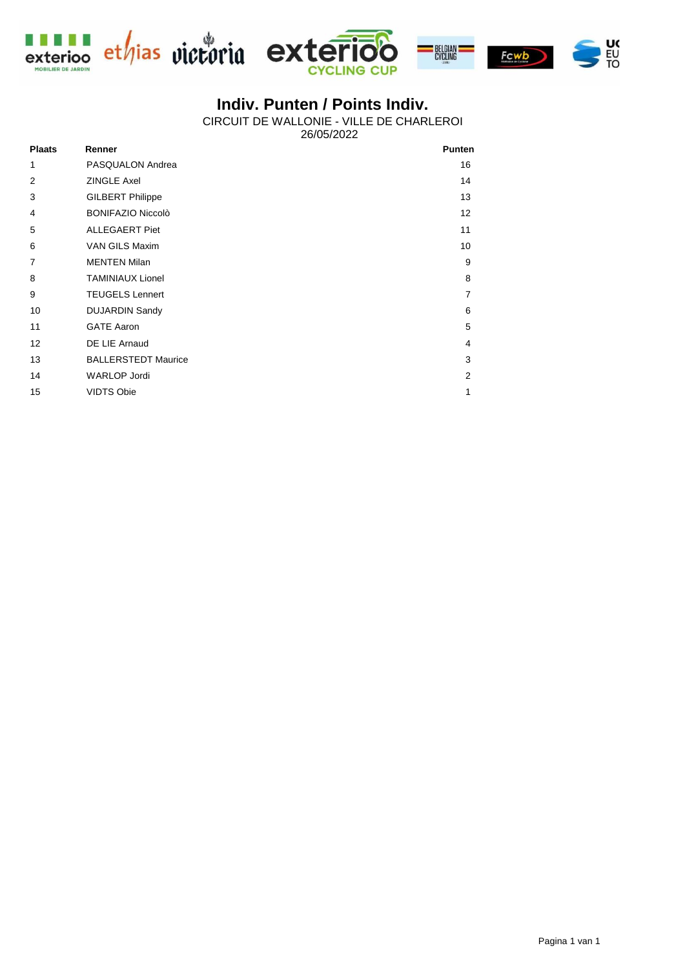





## **Indiv. Punten / Points Indiv.**

26/05/2022 CIRCUIT DE WALLONIE - VILLE DE CHARLEROI

| <b>Plaats</b> | Renner                     | <b>Punten</b>  |
|---------------|----------------------------|----------------|
| 1             | PASQUALON Andrea           | 16             |
| 2             | <b>ZINGLE Axel</b>         | 14             |
| 3             | <b>GILBERT Philippe</b>    | 13             |
| 4             | <b>BONIFAZIO Niccolò</b>   | 12             |
| 5             | <b>ALLEGAERT Piet</b>      | 11             |
| 6             | VAN GILS Maxim             | 10             |
| 7             | <b>MENTEN Milan</b>        | 9              |
| 8             | <b>TAMINIAUX Lionel</b>    | 8              |
| 9             | <b>TEUGELS Lennert</b>     | $\overline{7}$ |
| 10            | <b>DUJARDIN Sandy</b>      | 6              |
| 11            | <b>GATE Aaron</b>          | 5              |
| 12            | DE LIE Arnaud              | 4              |
| 13            | <b>BALLERSTEDT Maurice</b> | 3              |
| 14            | <b>WARLOP Jordi</b>        | 2              |
| 15            | <b>VIDTS Obie</b>          | 1              |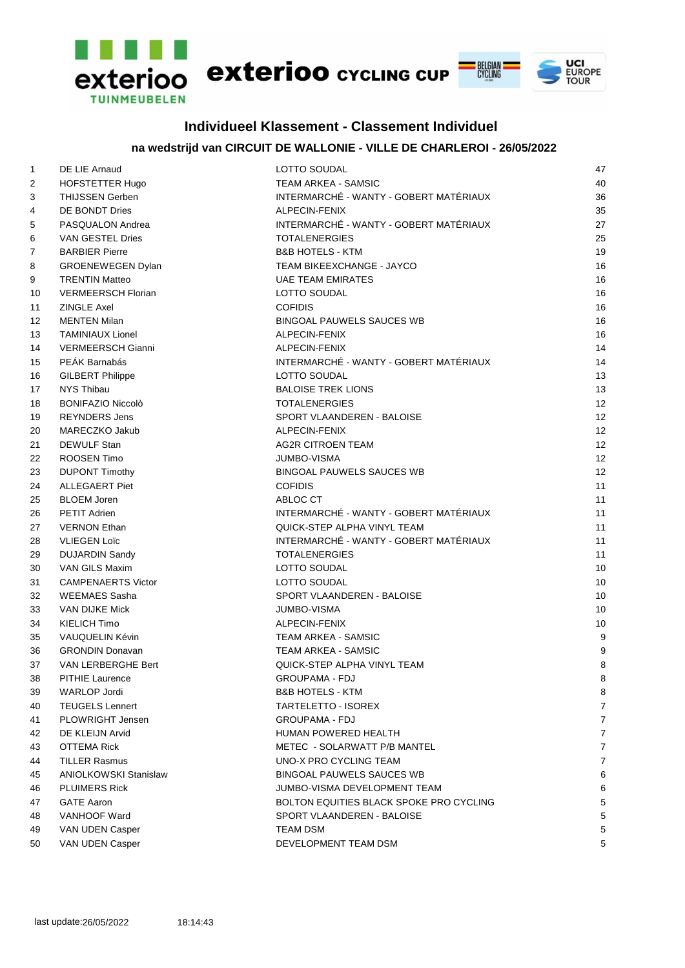

### **Individueel Klassement - Classement Individuel**

### **na wedstrijd van CIRCUIT DE WALLONIE - VILLE DE CHARLEROI - 26/05/2022**

| $\mathbf{1}$   | DE LIE Arnaud                | LOTTO SOUDAL                            | 47             |
|----------------|------------------------------|-----------------------------------------|----------------|
| $\overline{2}$ | HOFSTETTER Hugo              | TEAM ARKEA - SAMSIC                     | 40             |
| 3              | <b>THIJSSEN Gerben</b>       | INTERMARCHÉ - WANTY - GOBERT MATÉRIAUX  | 36             |
| 4              | DE BONDT Dries               | ALPECIN-FENIX                           | 35             |
| 5              | PASQUALON Andrea             | INTERMARCHÉ - WANTY - GOBERT MATÉRIAUX  | 27             |
| 6              | VAN GESTEL Dries             | <b>TOTALENERGIES</b>                    | 25             |
| 7              | <b>BARBIER Pierre</b>        | <b>B&amp;B HOTELS - KTM</b>             | 19             |
| 8              | GROENEWEGEN Dylan            | TEAM BIKEEXCHANGE - JAYCO               | 16             |
| 9              | <b>TRENTIN Matteo</b>        | <b>UAE TEAM EMIRATES</b>                | 16             |
| 10             | <b>VERMEERSCH Florian</b>    | <b>LOTTO SOUDAL</b>                     | 16             |
| 11             | <b>ZINGLE Axel</b>           | <b>COFIDIS</b>                          | 16             |
| 12             | <b>MENTEN Milan</b>          | <b>BINGOAL PAUWELS SAUCES WB</b>        | 16             |
| 13             | <b>TAMINIAUX Lionel</b>      | ALPECIN-FENIX                           | 16             |
| 14             | <b>VERMEERSCH Gianni</b>     | ALPECIN-FENIX                           | 14             |
| 15             | PEÁK Barnabás                | INTERMARCHÉ - WANTY - GOBERT MATÉRIAUX  | 14             |
| 16             | <b>GILBERT Philippe</b>      | <b>LOTTO SOUDAL</b>                     | 13             |
| 17             | NYS Thibau                   | <b>BALOISE TREK LIONS</b>               | 13             |
| 18             | <b>BONIFAZIO Niccolò</b>     | <b>TOTALENERGIES</b>                    | 12             |
| 19             | <b>REYNDERS Jens</b>         | SPORT VLAANDEREN - BALOISE              | 12             |
| 20             | MARECZKO Jakub               | ALPECIN-FENIX                           | 12             |
| 21             | DEWULF Stan                  | <b>AG2R CITROEN TEAM</b>                | 12             |
| 22             | ROOSEN Timo                  | <b>JUMBO-VISMA</b>                      | 12             |
| 23             | <b>DUPONT Timothy</b>        | <b>BINGOAL PAUWELS SAUCES WB</b>        | 12             |
| 24             | <b>ALLEGAERT Piet</b>        | <b>COFIDIS</b>                          | 11             |
| 25             | <b>BLOEM Joren</b>           | ABLOC CT                                | 11             |
| 26             | <b>PETIT Adrien</b>          | INTERMARCHÉ - WANTY - GOBERT MATÉRIAUX  | 11             |
| 27             | <b>VERNON Ethan</b>          | QUICK-STEP ALPHA VINYL TEAM             | 11             |
| 28             | <b>VLIEGEN Loïc</b>          | INTERMARCHÉ - WANTY - GOBERT MATÉRIAUX  | 11             |
| 29             | <b>DUJARDIN Sandy</b>        | <b>TOTALENERGIES</b>                    | 11             |
| 30             | VAN GILS Maxim               | LOTTO SOUDAL                            | 10             |
| 31             | <b>CAMPENAERTS Victor</b>    | LOTTO SOUDAL                            | 10             |
| 32             | <b>WEEMAES Sasha</b>         | SPORT VLAANDEREN - BALOISE              | 10             |
| 33             | <b>VAN DIJKE Mick</b>        | <b>JUMBO-VISMA</b>                      | 10             |
| 34             | KIELICH Timo                 | ALPECIN-FENIX                           | 10             |
| 35             | VAUQUELIN Kévin              | TEAM ARKEA - SAMSIC                     | 9              |
| 36             | <b>GRONDIN Donavan</b>       | <b>TEAM ARKEA - SAMSIC</b>              | 9              |
| 37             | VAN LERBERGHE Bert           | QUICK-STEP ALPHA VINYL TEAM             | 8              |
| 38             | PITHIE Laurence              | GROUPAMA - FDJ                          | 8              |
| 39             | WARLOP Jordi                 | <b>B&amp;B HOTELS - KTM</b>             | 8              |
| 40             | <b>TEUGELS Lennert</b>       | <b>TARTELETTO - ISOREX</b>              | $\overline{7}$ |
| 41             | PLOWRIGHT Jensen             | <b>GROUPAMA - FDJ</b>                   | $\overline{7}$ |
| 42             | DE KLEIJN Arvid              | HUMAN POWERED HEALTH                    | $\overline{7}$ |
| 43             | <b>OTTEMA Rick</b>           | METEC - SOLARWATT P/B MANTEL            | $\overline{7}$ |
| 44             | <b>TILLER Rasmus</b>         | UNO-X PRO CYCLING TEAM                  | $\overline{7}$ |
| 45             | <b>ANIOLKOWSKI Stanislaw</b> | <b>BINGOAL PAUWELS SAUCES WB</b>        | 6              |
| 46             | <b>PLUIMERS Rick</b>         | JUMBO-VISMA DEVELOPMENT TEAM            | 6              |
| 47             | <b>GATE Aaron</b>            | BOLTON EQUITIES BLACK SPOKE PRO CYCLING | 5              |
|                | VANHOOF Ward                 | SPORT VLAANDEREN - BALOISE              | 5              |
| 48             |                              |                                         |                |
| 49             | VAN UDEN Casper              | TEAM DSM                                | 5              |
| 50             | VAN UDEN Casper              | DEVELOPMENT TEAM DSM                    | 5              |